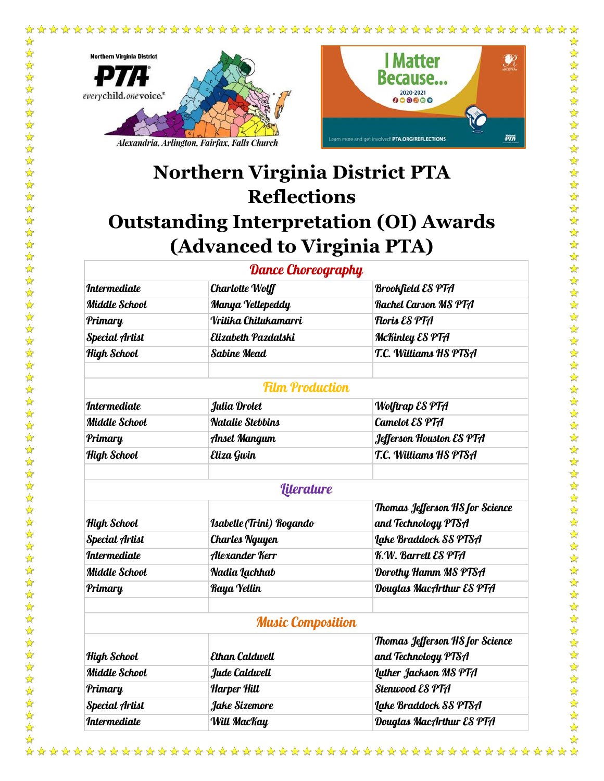



 $\frac{1}{\sqrt{2}}$ 

# **Northern Virginia District PTA Reflections Outstanding Interpretation (OI) Awards (Advanced to Virginia PTA)**

## Dance Choreography

| <i><b>Intermediate</b></i> | <b>Charlotte Wolff</b>          | <b>Brookfield ES PTA</b>        |
|----------------------------|---------------------------------|---------------------------------|
| <b>Middle School</b>       | Manya Yellepeddy                | <b>Rachel Carson MS PTA</b>     |
| Primary                    | Vritika Chilukamarri            | Floris ES PTA                   |
| <b>Special Artist</b>      | Elizabeth Pazdalski             | McKinley ES PTA                 |
| High School                | <b>Sabine Mead</b>              | T.C. Williams HS PTSA           |
|                            |                                 |                                 |
|                            | <b>Film Production</b>          |                                 |
| <i><b>Intermediate</b></i> | Julia Drolet                    | <b>Wolftrap ES PTA</b>          |
| <b>Middle School</b>       | <b>Natalie Stebbins</b>         | Camelot ES PTA                  |
| Primary                    | <b>Ansel Mangum</b>             | Jefferson Houston ES PTA        |
| High School                | Eliza Gwin                      | T.C. Williams HS PTSA           |
|                            |                                 |                                 |
|                            | <i><u><b>literature</b></u></i> |                                 |
|                            |                                 | Thomas Jefferson HS for Science |
| High School                | Isabelle (Trini) Rogando        | and Technology PTSA             |
| <b>Special Artist</b>      | <b>Charles Nguyen</b>           | Lake Braddock SS PTSA           |
| <i><b>Intermediate</b></i> | Alexander Kerr                  | K.W. Barrett ES PTA             |
| <b>Middle School</b>       | Nadia Lachhab                   | Dorothy Hamm MS PTSA            |
| Primary                    | Raya Yellin                     | Douglas MacArthur ES PTA        |
|                            |                                 |                                 |
|                            | <b>Music Composition</b>        |                                 |
|                            |                                 | Thomas Jefferson HS for Science |
| High School                | <b>Ethan Caldwell</b>           | and Technology PTSA             |
| <b>Middle School</b>       | Jude Caldwell                   | <b>Luther Jackson MS PTA</b>    |
| Primary                    | <b>Harper Hill</b>              | <b>Stenwood ES PTA</b>          |
| <b>Special Artist</b>      | Jake Sizemore                   | Lake Braddock SS PTSA           |
| <i><b>Intermediate</b></i> | Will MacKay                     | Douglas MacArthur ES PTA        |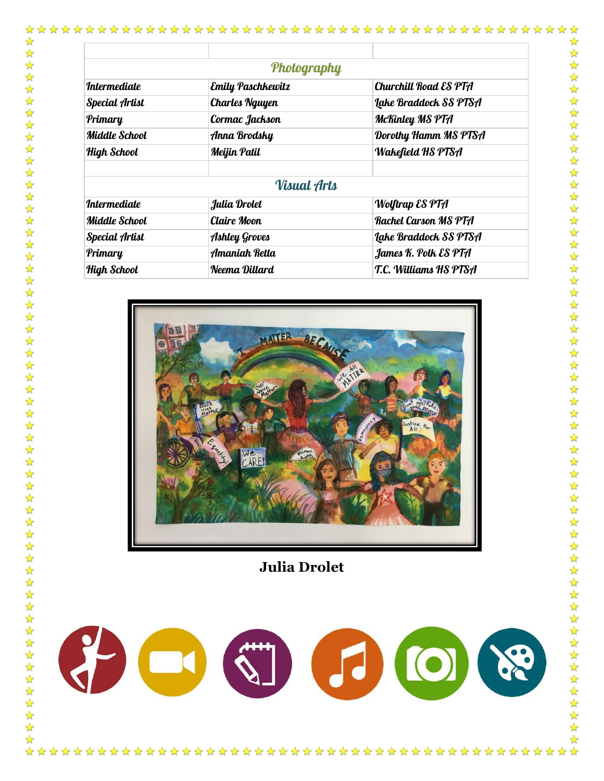|                            | Photography           |                          |
|----------------------------|-----------------------|--------------------------|
| <i><b>Intermediate</b></i> | Emily Paschkewitz     | Churchill Road ES PTA    |
| Special Artist             | <b>Charles Nguyen</b> | Lake Braddock SS PTSA    |
| Primary                    | Cormac Jackson        | McKinley MS PTA          |
| Middle School              | Anna Brodsky          | Dorothy Hamm MS PTSA     |
| High School                | Meijin Patil          | <b>Wakefield HS PTSA</b> |
|                            | <b>Visual Arts</b>    |                          |
| <i><b>Intermediate</b></i> | Julia Drolet          | <b>Wolftrap ES PTA</b>   |
| <b>Middle School</b>       | Claire Moon           | Rachel Carson MS PTA     |
| Special Artist             | <b>Ashley Groves</b>  | Lake Braddock SS PTSA    |
| Primary                    | Amaniah Retta         | James K. Polk ES PTA     |
| High School                | Neema Dillard         | T.C. Williams HS PTSA    |



**Julia Drolet**

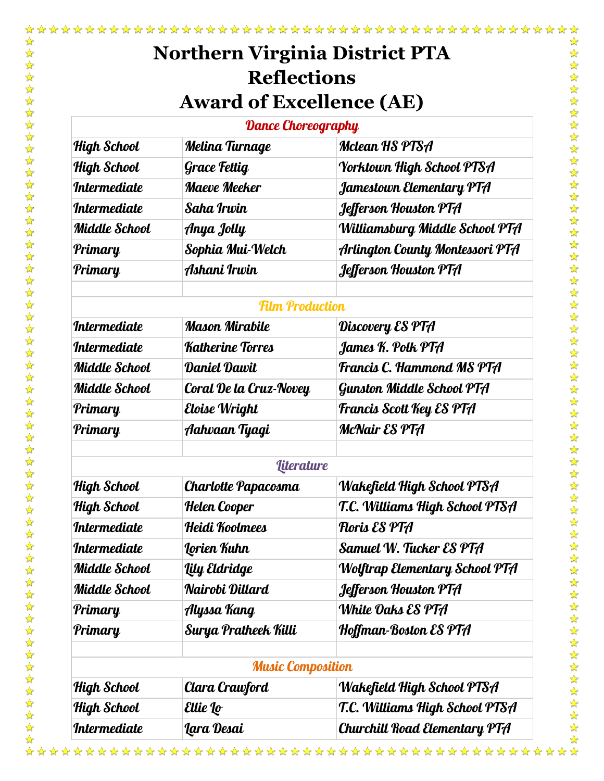\*\*\*\*\*\*\*\*\*\*\*\*\*\*\*\*

☆

| <b>Dance Choreography</b>  |                     |                                  |
|----------------------------|---------------------|----------------------------------|
| <b>High School</b>         | Melina Turnage      | Mclean HS PTSA                   |
| <b>High School</b>         | <b>Grace Fettig</b> | <b>Yorktown High School PTSA</b> |
| <i><b>Intermediate</b></i> | <b>Maeve Meeker</b> | Jamestown Elementary PTA         |
| <i><b>Intermediate</b></i> | Saha Irwin          | Jefferson Houston PTA            |
| <b>Middle School</b>       | Anya Jolly          | Williamsburg Middle School PTA   |
| Primary                    | Sophia Mui-Welch    | Arlington County Montessori PTA  |
| Primary                    | Ashani Irwin        | Jefferson Houston PTA            |
|                            |                     |                                  |

### Film Production

| <i>Intermediate</i>  | Mason Mirabile          | Discovery ES PTA                |
|----------------------|-------------------------|---------------------------------|
| <i>Intermediate</i>  | <b>Katherine Torres</b> | James K. Polk PTA               |
| Middle School        | Daniel Dawit            | Francis C. Hammond MS PTA       |
| <b>Middle School</b> | Coral De la Cruz-Novey  | Gunston Middle School PTA       |
| Primary              | Eloise Wright           | <b>Francis Scott Key ES PTA</b> |
| Primary              | Aahvaan Tyagi           | <b>McNair ES PTA</b>            |
|                      |                         |                                 |

#### *<u>Aiterature</u>*

|               | iaa aan c                  |                                |
|---------------|----------------------------|--------------------------------|
| High School   | <b>Charlotte Papacosma</b> | Wakefield High School PTSA     |
| High School   | Helen Cooper               | T.C. Williams High School PTSA |
| Intermediate  | Heidi Koolmees             | Floris ES PTA                  |
| Intermediate  | Lorien Kuhn                | Samuel W. Tucker ES PTA        |
| Middle School | Lily Eldridge              | Wolftrap Elementary School PTA |
| Middle School | Nairobi Dillard            | Jefferson Houston PTA          |
| Primary       | Alyssa Kang                | White Oaks ES PTA              |
| Primary       | Surya Pratheek Killi       | Hoffman-Boston ES PTA          |
|               | <b>Music Composition</b>   |                                |
| High School   | Clara Crawford             | Wakefield High School PTSA     |
| High School   | Ellie Lo                   | T.C. Williams High School PTSA |
| Intermediate  | Lara Desai                 | Churchill Road Elementary PTA  |

\*\*\*\*\*\*\*\*\*